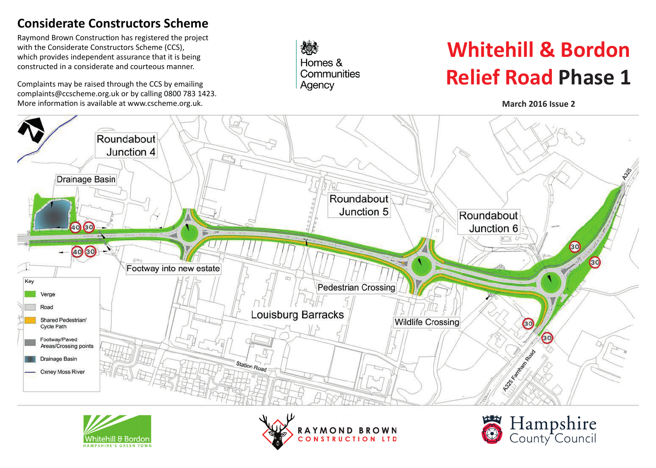## **Considerate Constructors Scheme**

Raymond Brown Construction has registered the project with the Considerate Constructors Scheme (CCS), which provides independent assurance that it is being constructed in a considerate and courteous manner.

Complaints may be raised through the CCS by emailing complaints@ccscheme.org.uk or by calling 0800 783 1423. More information is available at www.cscheme.org.uk.

嫁 Homes & Communities Agency

# **Whitehill & Bordon Relief Road Phase 1**

**March 2016 Issue 2**